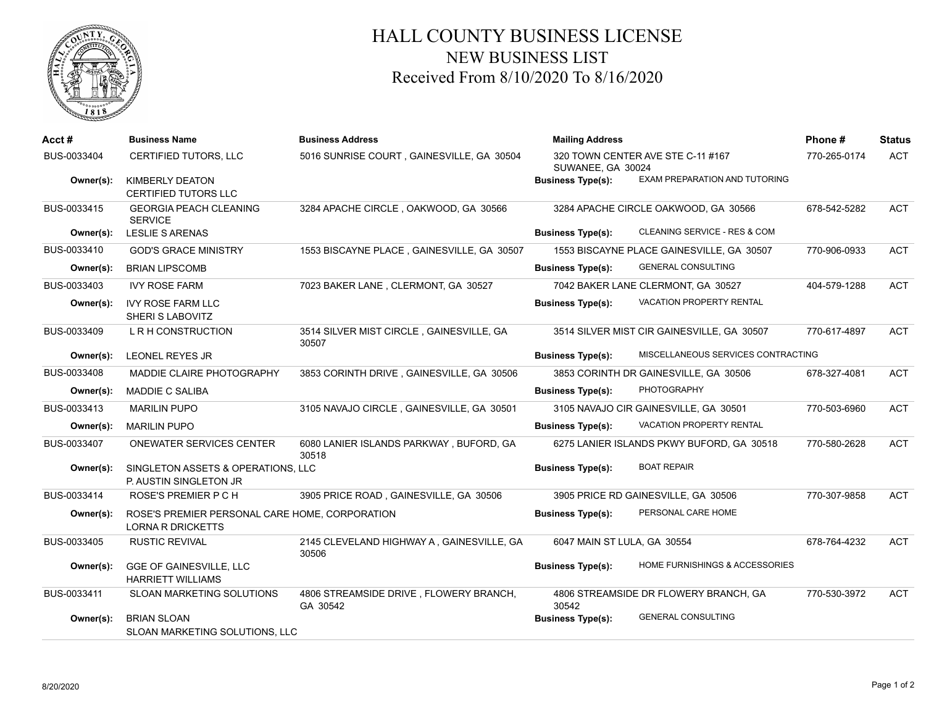

## HALL COUNTY BUSINESS LICENSE NEW BUSINESS LIST Received From 8/10/2020 To 8/16/2020

| Acct#       | <b>Business Name</b>                                                       | <b>Business Address</b>                            | <b>Mailing Address</b>      |                                            | Phone#       | <b>Status</b> |
|-------------|----------------------------------------------------------------------------|----------------------------------------------------|-----------------------------|--------------------------------------------|--------------|---------------|
| BUS-0033404 | <b>CERTIFIED TUTORS, LLC</b>                                               | 5016 SUNRISE COURT, GAINESVILLE, GA 30504          | SUWANEE, GA 30024           | 320 TOWN CENTER AVE STE C-11 #167          | 770-265-0174 | <b>ACT</b>    |
| Owner(s):   | <b>KIMBERLY DEATON</b><br><b>CERTIFIED TUTORS LLC</b>                      |                                                    | <b>Business Type(s):</b>    | EXAM PREPARATION AND TUTORING              |              |               |
| BUS-0033415 | <b>GEORGIA PEACH CLEANING</b><br><b>SERVICE</b>                            | 3284 APACHE CIRCLE, OAKWOOD, GA 30566              |                             | 3284 APACHE CIRCLE OAKWOOD, GA 30566       | 678-542-5282 | <b>ACT</b>    |
| Owner(s):   | LESLIE S ARENAS                                                            |                                                    | <b>Business Type(s):</b>    | CLEANING SERVICE - RES & COM               |              |               |
| BUS-0033410 | <b>GOD'S GRACE MINISTRY</b>                                                | 1553 BISCAYNE PLACE, GAINESVILLE, GA 30507         |                             | 1553 BISCAYNE PLACE GAINESVILLE, GA 30507  | 770-906-0933 | <b>ACT</b>    |
| Owner(s):   | <b>BRIAN LIPSCOMB</b>                                                      |                                                    | <b>Business Type(s):</b>    | <b>GENERAL CONSULTING</b>                  |              |               |
| BUS-0033403 | <b>IVY ROSE FARM</b>                                                       | 7023 BAKER LANE, CLERMONT, GA 30527                |                             | 7042 BAKER LANE CLERMONT, GA 30527         | 404-579-1288 | <b>ACT</b>    |
| Owner(s):   | <b>IVY ROSE FARM LLC</b><br>SHERI S LABOVITZ                               |                                                    | <b>Business Type(s):</b>    | <b>VACATION PROPERTY RENTAL</b>            |              |               |
| BUS-0033409 | L R H CONSTRUCTION                                                         | 3514 SILVER MIST CIRCLE, GAINESVILLE, GA<br>30507  |                             | 3514 SILVER MIST CIR GAINESVILLE, GA 30507 | 770-617-4897 | <b>ACT</b>    |
| Owner(s):   | LEONEL REYES JR                                                            |                                                    | <b>Business Type(s):</b>    | MISCELLANEOUS SERVICES CONTRACTING         |              |               |
| BUS-0033408 | MADDIE CLAIRE PHOTOGRAPHY                                                  | 3853 CORINTH DRIVE, GAINESVILLE, GA 30506          |                             | 3853 CORINTH DR GAINESVILLE, GA 30506      | 678-327-4081 | <b>ACT</b>    |
| Owner(s):   | <b>MADDIE C SALIBA</b>                                                     |                                                    | <b>Business Type(s):</b>    | <b>PHOTOGRAPHY</b>                         |              |               |
| BUS-0033413 | <b>MARILIN PUPO</b>                                                        | 3105 NAVAJO CIRCLE, GAINESVILLE, GA 30501          |                             | 3105 NAVAJO CIR GAINESVILLE, GA 30501      | 770-503-6960 | <b>ACT</b>    |
| Owner(s):   | <b>MARILIN PUPO</b>                                                        |                                                    | <b>Business Type(s):</b>    | <b>VACATION PROPERTY RENTAL</b>            |              |               |
| BUS-0033407 | ONEWATER SERVICES CENTER                                                   | 6080 LANIER ISLANDS PARKWAY, BUFORD, GA<br>30518   |                             | 6275 LANIER ISLANDS PKWY BUFORD, GA 30518  | 770-580-2628 | <b>ACT</b>    |
| Owner(s):   | SINGLETON ASSETS & OPERATIONS, LLC<br>P. AUSTIN SINGLETON JR               |                                                    | <b>Business Type(s):</b>    | <b>BOAT REPAIR</b>                         |              |               |
| BUS-0033414 | ROSE'S PREMIER P C H                                                       | 3905 PRICE ROAD, GAINESVILLE, GA 30506             |                             | 3905 PRICE RD GAINESVILLE, GA 30506        | 770-307-9858 | <b>ACT</b>    |
| Owner(s):   | ROSE'S PREMIER PERSONAL CARE HOME, CORPORATION<br><b>LORNA R DRICKETTS</b> |                                                    | <b>Business Type(s):</b>    | PERSONAL CARE HOME                         |              |               |
| BUS-0033405 | <b>RUSTIC REVIVAL</b>                                                      | 2145 CLEVELAND HIGHWAY A, GAINESVILLE, GA<br>30506 | 6047 MAIN ST LULA, GA 30554 |                                            | 678-764-4232 | <b>ACT</b>    |
| Owner(s):   | GGE OF GAINESVILLE, LLC<br><b>HARRIETT WILLIAMS</b>                        |                                                    | <b>Business Type(s):</b>    | HOME FURNISHINGS & ACCESSORIES             |              |               |
| BUS-0033411 | SLOAN MARKETING SOLUTIONS                                                  | 4806 STREAMSIDE DRIVE, FLOWERY BRANCH,<br>GA 30542 | 30542                       | 4806 STREAMSIDE DR FLOWERY BRANCH, GA      | 770-530-3972 | <b>ACT</b>    |
| Owner(s):   | <b>BRIAN SLOAN</b><br>SLOAN MARKETING SOLUTIONS, LLC                       |                                                    | <b>Business Type(s):</b>    | <b>GENERAL CONSULTING</b>                  |              |               |